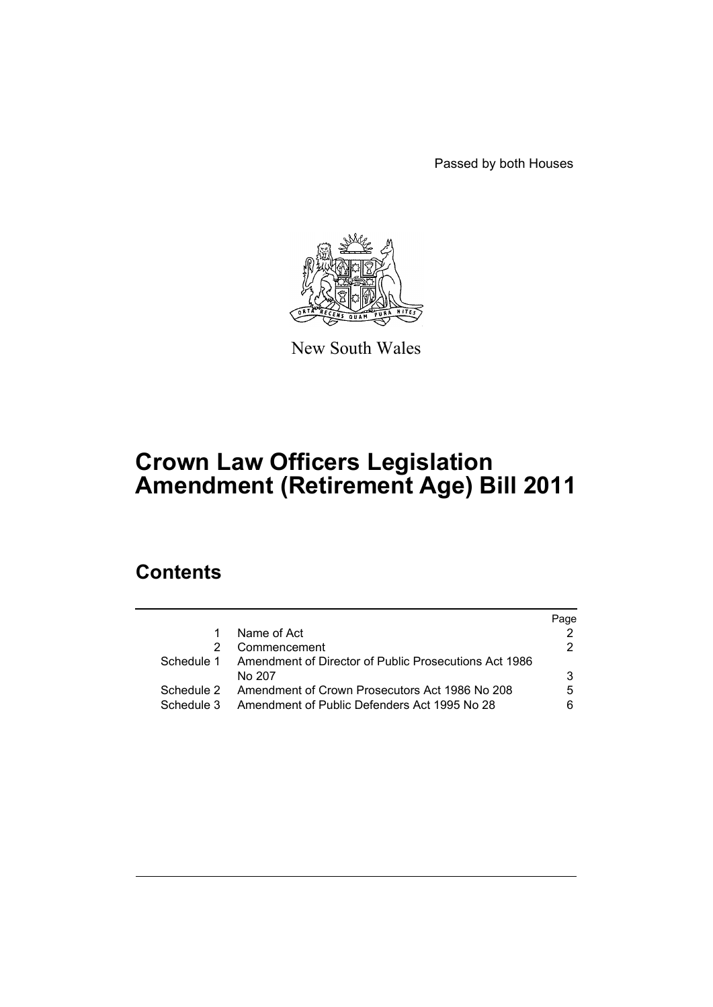Passed by both Houses



New South Wales

# **Crown Law Officers Legislation Amendment (Retirement Age) Bill 2011**

# **Contents**

|            |                                                           | Paqe |
|------------|-----------------------------------------------------------|------|
|            | Name of Act                                               |      |
|            | Commencement                                              | 2.   |
| Schedule 1 | Amendment of Director of Public Prosecutions Act 1986     |      |
|            | No 207                                                    | 3    |
|            | Schedule 2 Amendment of Crown Prosecutors Act 1986 No 208 | 5    |
| Schedule 3 | Amendment of Public Defenders Act 1995 No 28              | ิค   |
|            |                                                           |      |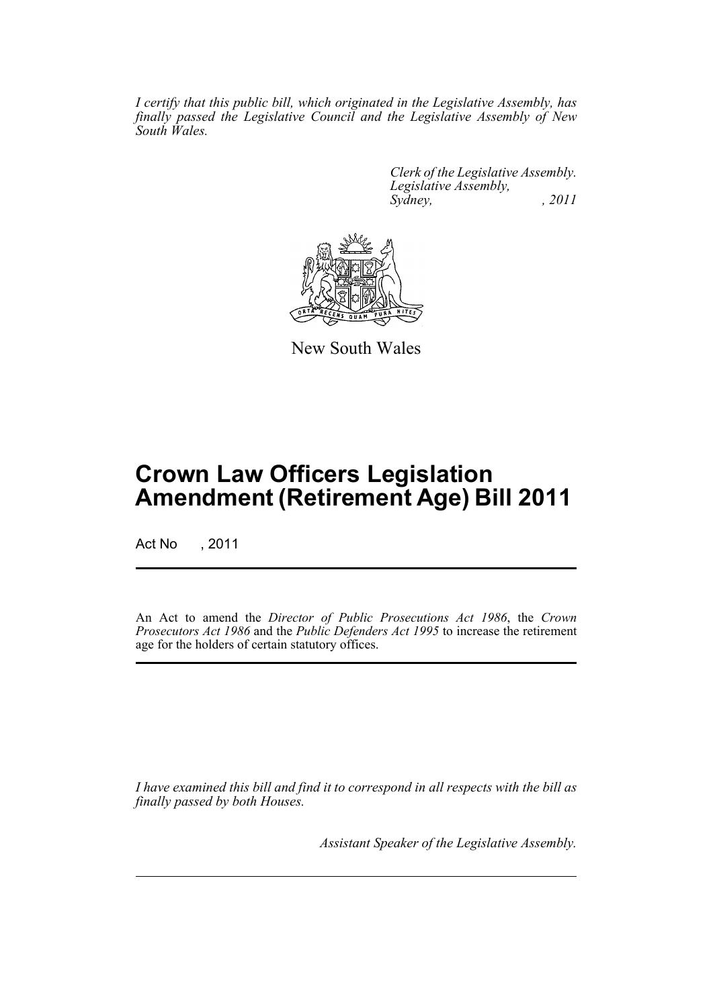*I certify that this public bill, which originated in the Legislative Assembly, has finally passed the Legislative Council and the Legislative Assembly of New South Wales.*

> *Clerk of the Legislative Assembly. Legislative Assembly, Sydney, , 2011*



New South Wales

# **Crown Law Officers Legislation Amendment (Retirement Age) Bill 2011**

Act No , 2011

An Act to amend the *Director of Public Prosecutions Act 1986*, the *Crown Prosecutors Act 1986* and the *Public Defenders Act 1995* to increase the retirement age for the holders of certain statutory offices.

*I have examined this bill and find it to correspond in all respects with the bill as finally passed by both Houses.*

*Assistant Speaker of the Legislative Assembly.*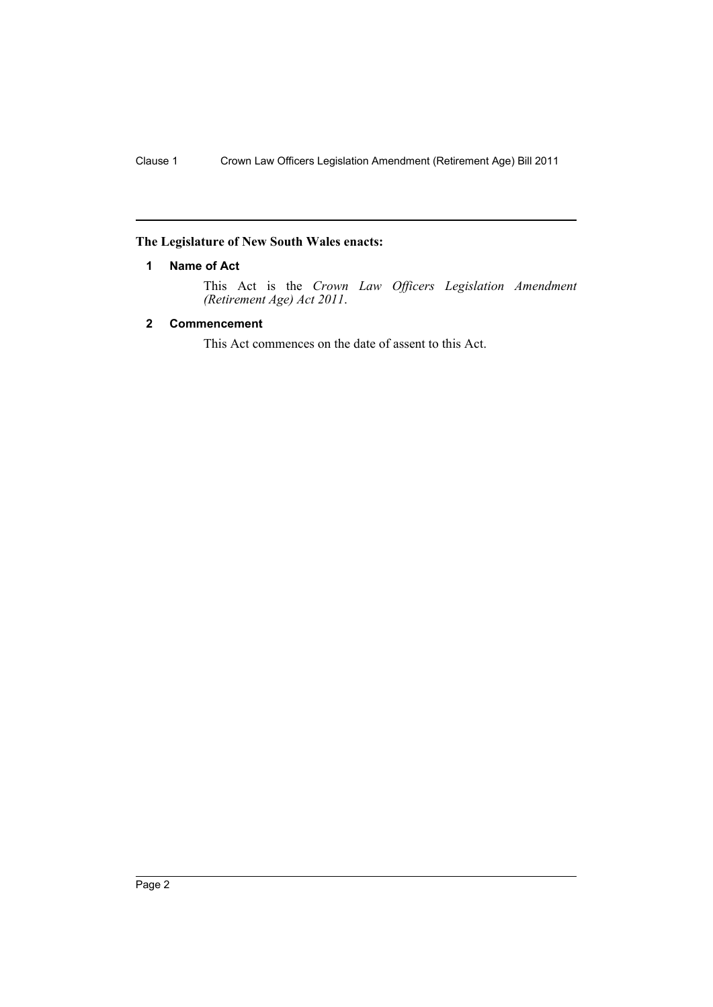# <span id="page-3-0"></span>**The Legislature of New South Wales enacts:**

## **1 Name of Act**

This Act is the *Crown Law Officers Legislation Amendment (Retirement Age) Act 2011*.

## <span id="page-3-1"></span>**2 Commencement**

This Act commences on the date of assent to this Act.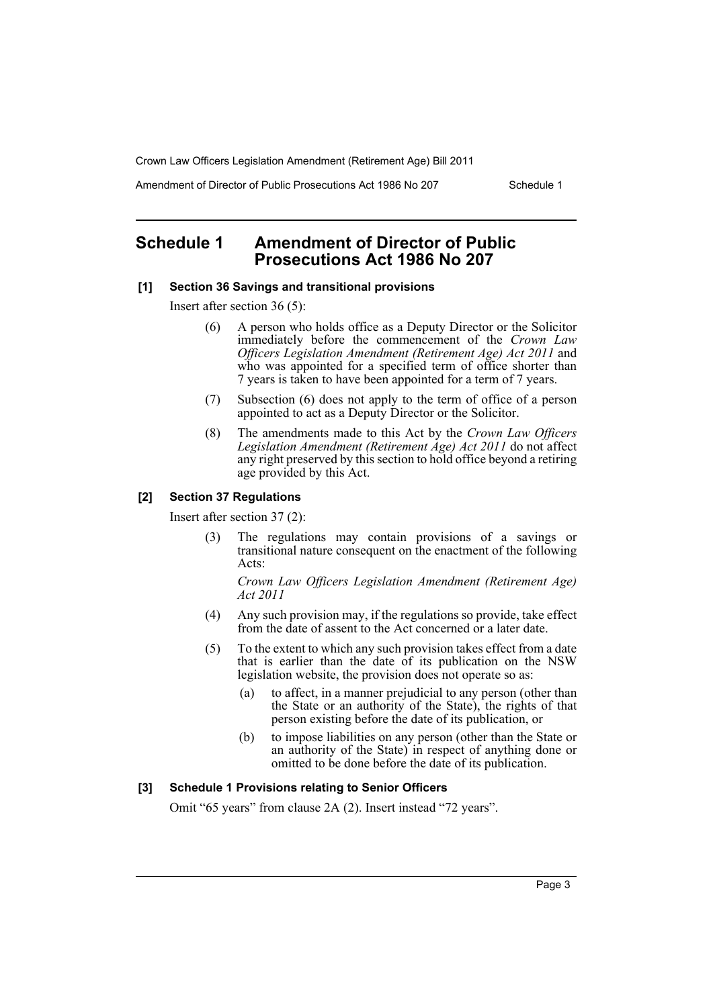Amendment of Director of Public Prosecutions Act 1986 No 207 Schedule 1

# <span id="page-4-0"></span>**Schedule 1 Amendment of Director of Public Prosecutions Act 1986 No 207**

#### **[1] Section 36 Savings and transitional provisions**

Insert after section 36 (5):

- (6) A person who holds office as a Deputy Director or the Solicitor immediately before the commencement of the *Crown Law Officers Legislation Amendment (Retirement Age) Act 2011* and who was appointed for a specified term of office shorter than 7 years is taken to have been appointed for a term of 7 years.
- (7) Subsection (6) does not apply to the term of office of a person appointed to act as a Deputy Director or the Solicitor.
- (8) The amendments made to this Act by the *Crown Law Officers Legislation Amendment (Retirement Age) Act 2011* do not affect any right preserved by this section to hold office beyond a retiring age provided by this Act.

#### **[2] Section 37 Regulations**

Insert after section 37 (2):

(3) The regulations may contain provisions of a savings or transitional nature consequent on the enactment of the following Acts:

*Crown Law Officers Legislation Amendment (Retirement Age) Act 2011*

- (4) Any such provision may, if the regulations so provide, take effect from the date of assent to the Act concerned or a later date.
- (5) To the extent to which any such provision takes effect from a date that is earlier than the date of its publication on the NSW legislation website, the provision does not operate so as:
	- (a) to affect, in a manner prejudicial to any person (other than the State or an authority of the State), the rights of that person existing before the date of its publication, or
	- (b) to impose liabilities on any person (other than the State or an authority of the State) in respect of anything done or omitted to be done before the date of its publication.

#### **[3] Schedule 1 Provisions relating to Senior Officers**

Omit "65 years" from clause 2A (2). Insert instead "72 years".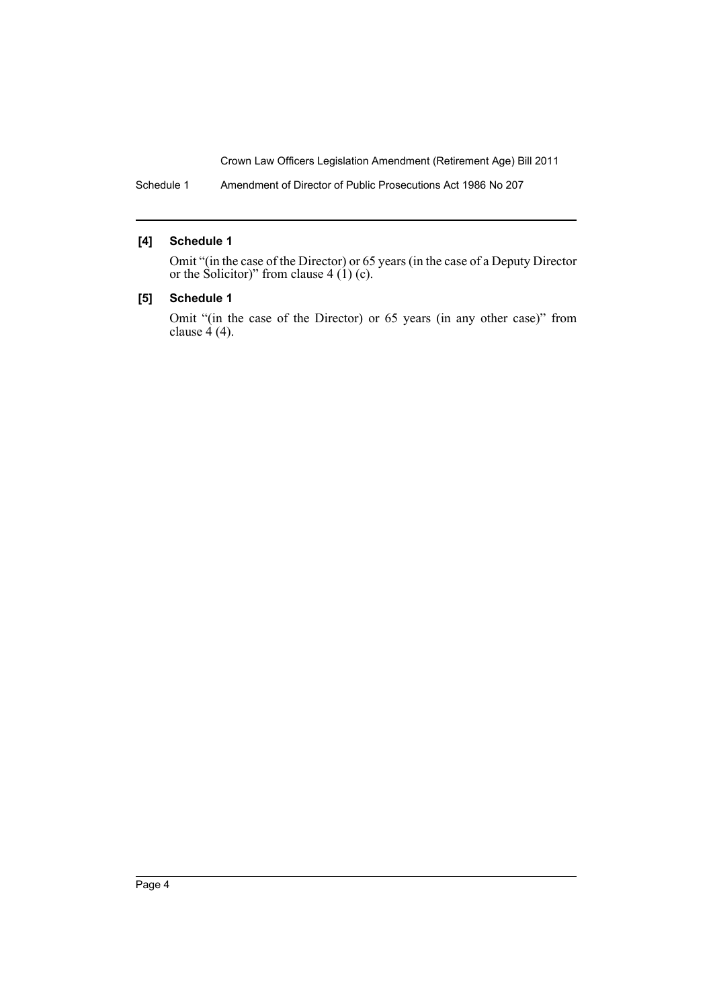Schedule 1 Amendment of Director of Public Prosecutions Act 1986 No 207

### **[4] Schedule 1**

Omit "(in the case of the Director) or 65 years (in the case of a Deputy Director or the Solicitor)" from clause  $4(1)(c)$ .

## **[5] Schedule 1**

Omit "(in the case of the Director) or 65 years (in any other case)" from clause  $4(4)$ .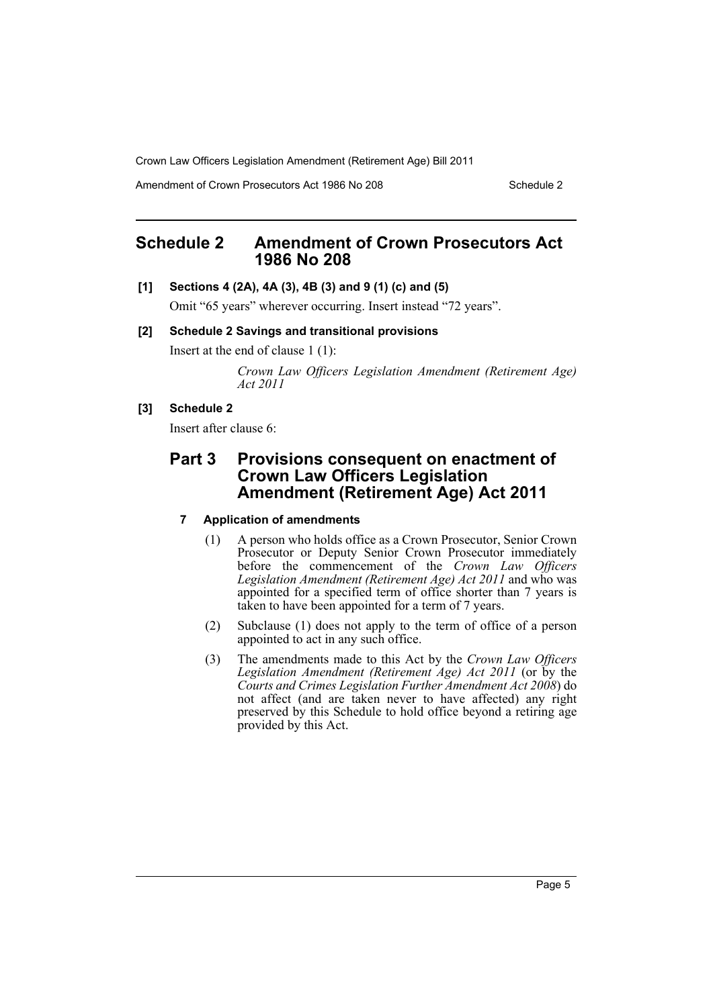Amendment of Crown Prosecutors Act 1986 No 208 Schedule 2

# <span id="page-6-0"></span>**Schedule 2 Amendment of Crown Prosecutors Act 1986 No 208**

#### **[1] Sections 4 (2A), 4A (3), 4B (3) and 9 (1) (c) and (5)**

Omit "65 years" wherever occurring. Insert instead "72 years".

#### **[2] Schedule 2 Savings and transitional provisions**

Insert at the end of clause 1 (1):

*Crown Law Officers Legislation Amendment (Retirement Age) Act 2011*

#### **[3] Schedule 2**

Insert after clause 6:

# **Part 3 Provisions consequent on enactment of Crown Law Officers Legislation Amendment (Retirement Age) Act 2011**

## **7 Application of amendments**

- (1) A person who holds office as a Crown Prosecutor, Senior Crown Prosecutor or Deputy Senior Crown Prosecutor immediately before the commencement of the *Crown Law Officers Legislation Amendment (Retirement Age) Act 2011* and who was appointed for a specified term of office shorter than 7 years is taken to have been appointed for a term of 7 years.
- (2) Subclause (1) does not apply to the term of office of a person appointed to act in any such office.
- (3) The amendments made to this Act by the *Crown Law Officers* Legislation Amendment (Retirement Age) Act 2011 (or by the *Courts and Crimes Legislation Further Amendment Act 2008*) do not affect (and are taken never to have affected) any right preserved by this Schedule to hold office beyond a retiring age provided by this Act.